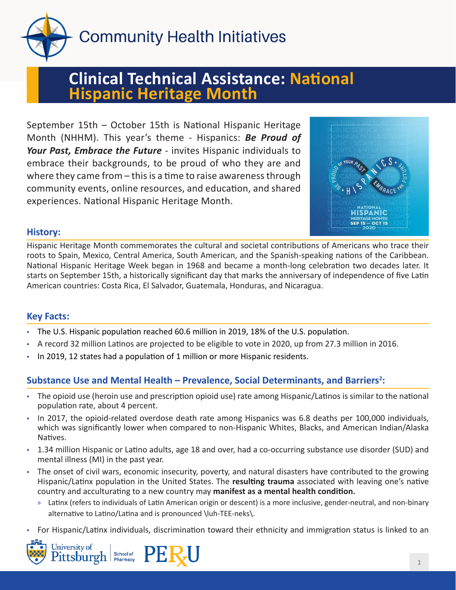

**Community Health Initiatives** 

# **Clinical Technical Assistance: National Hispanic Heritage Month**

September 15th – October 15th is National Hispanic Heritage Month (NHHM). This year's theme - Hispanics: *Be Proud of Your Past, Embrace the Future* - invites Hispanic individuals to embrace their backgrounds, to be proud of who they are and where they came from – this is a time to raise awareness through community events, online resources, and education, and shared experiences. National Hispanic Heritage Month.



## **History:**

Hispanic Heritage Month commemorates the cultural and societal contributions of Americans who trace their roots to Spain, Mexico, Central America, South American, and the Spanish-speaking nations of the Caribbean. National Hispanic Heritage Week began in 1968 and became a month-long celebration two decades later. It starts on September 15th, a historically significant day that marks the anniversary of independence of five Latin American countries: Costa Rica, El Salvador, Guatemala, Honduras, and Nicaragua.

# **Key Facts:**

- The U.S. Hispanic population reached 60.6 million in 2019, 18% of the U.S. population.
- A record 32 million Latinos are projected to be eligible to vote in 2020, up from 27.3 million in 2016.
- In 2019, 12 states had a population of 1 million or more Hispanic residents.

# Substance Use and Mental Health – Prevalence, Social Determinants, and Barriers<sup>2</sup>:

- The opioid use (heroin use and prescription opioid use) rate among Hispanic/Latinos is similar to the national population rate, about 4 percent.
- In 2017, the opioid-related overdose death rate among Hispanics was 6.8 deaths per 100,000 individuals, which was significantly lower when compared to non-Hispanic Whites, Blacks, and American Indian/Alaska Natives.
- 1.34 million Hispanic or Latino adults, age 18 and over, had a co-occurring substance use disorder (SUD) and mental illness (MI) in the past year.
- The onset of civil wars, economic insecurity, poverty, and natural disasters have contributed to the growing Hispanic/Latinx population in the United States. The **resulting trauma** associated with leaving one's native country and acculturating to a new country may **manifest as a mental health condition.**
	- » Latinx (refers to individuals of Latin American origin or descent) is a more inclusive, gender-neutral, and non-binary alternative to Latino/Latina and is pronounced \luh-TEE-neks\.
- For Hispanic/Latinx individuals, discrimination toward their ethnicity and immigration status is linked to an



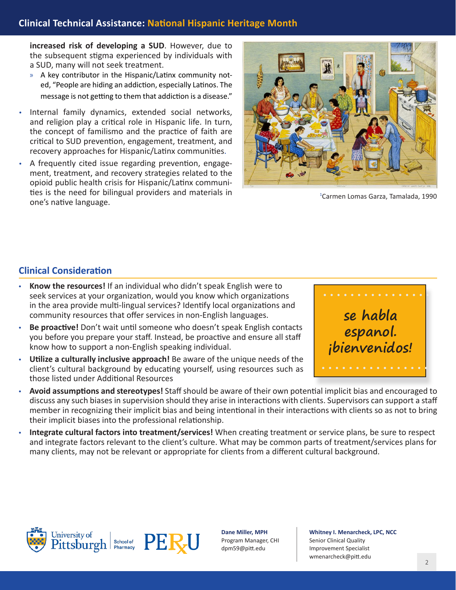**increased risk of developing a SUD**. However, due to the subsequent stigma experienced by individuals with a SUD, many will not seek treatment.

- » A key contributor in the Hispanic/Latinx community noted, "People are hiding an addiction, especially Latinos. The message is not getting to them that addiction is a disease."
- Internal family dynamics, extended social networks, and religion play a critical role in Hispanic life. In turn, the concept of familismo and the practice of faith are critical to SUD prevention, engagement, treatment, and recovery approaches for Hispanic/Latinx communities.
- A frequently cited issue regarding prevention, engagement, treatment, and recovery strategies related to the opioid public health crisis for Hispanic/Latinx communities is the need for bilingual providers and materials in one's native language.



1 Carmen Lomas Garza, Tamalada, 1990

## **Clinical Consideration**

- **Know the resources!** If an individual who didn't speak English were to seek services at your organization, would you know which organizations in the area provide multi-lingual services? Identify local organizations and community resources that offer services in non-English languages.
- **Be proactive!** Don't wait until someone who doesn't speak English contacts you before you prepare your staff. Instead, be proactive and ensure all staff know how to support a non-English speaking individual.
- **Utilize a culturally inclusive approach!** Be aware of the unique needs of the client's cultural background by educating yourself, using resources such as those listed under Additional Resources



- **Avoid assumptions and stereotypes!** Staff should be aware of their own potential implicit bias and encouraged to discuss any such biases in supervision should they arise in interactions with clients. Supervisors can support a staff member in recognizing their implicit bias and being intentional in their interactions with clients so as not to bring their implicit biases into the professional relationship.
- **Integrate cultural factors into treatment/services!** When creating treatment or service plans, be sure to respect and integrate factors relevant to the client's culture. What may be common parts of treatment/services plans for many clients, may not be relevant or appropriate for clients from a different cultural background.



**Dane Miller, MPH** Program Manager, CHI dpm59@pitt.edu

**Whitney I. Menarcheck, LPC, NCC** Senior Clinical Quality Improvement Specialist [wmenarcheck@pitt.edu](mailto:wmenarcheck%40pitt.edu?subject=)